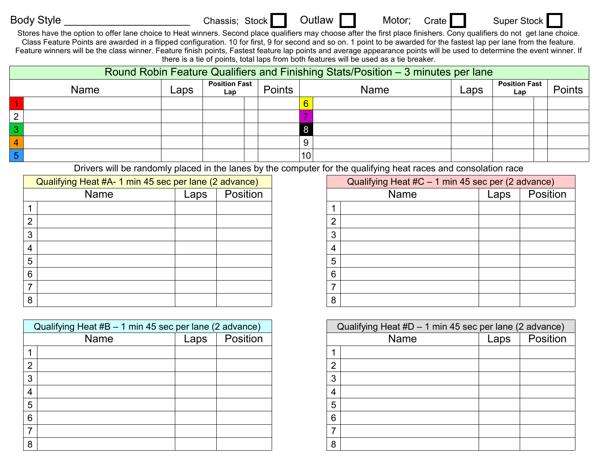Body Style \_\_\_\_\_\_\_\_\_\_\_\_\_\_\_\_\_\_\_\_\_\_\_\_\_\_\_\_\_\_\_\_Chassis; Stock Outlaw Motor; Crate Super Stock

Stores have the option to offer lane choice to Heat winners. Second place qualifiers may choose after the first place finishers. Cony qualifiers do not get lane choice. Class Feature Points are awarded in a flipped configuration. 10 for first, 9 for second and so on. 1 point to be awarded for the fastest lap per lane from the feature. Feature winners will be the class winner. Feature finish points, Fastest feature lap points and average appearance points will be used to determine the event winner. If there is a tie of points, total laps from both features will be used as a tie breaker.

|   | Round Robin Feature Qualifiers and Finishing Stats/Position – 3 minutes per lane |      |                             |        |                |             |      |                             |          |  |  |
|---|----------------------------------------------------------------------------------|------|-----------------------------|--------|----------------|-------------|------|-----------------------------|----------|--|--|
|   | <b>Name</b>                                                                      | Laps | <b>Position Fast</b><br>Lap | Points |                | <b>Name</b> | Laps | <b>Position Fast</b><br>Lap | Points I |  |  |
|   |                                                                                  |      |                             |        | $6\phantom{1}$ |             |      |                             |          |  |  |
|   |                                                                                  |      |                             |        |                |             |      |                             |          |  |  |
| 3 |                                                                                  |      |                             |        |                |             |      |                             |          |  |  |
|   |                                                                                  |      |                             |        | 9              |             |      |                             |          |  |  |
| 5 |                                                                                  |      |                             |        | 10             |             |      |                             |          |  |  |

Drivers will be randomly placed in the lanes by the computer for the qualifying heat races and consolation race

| Qualifying Heat #A- 1 min 45 sec per lane (2 advance) |      |      |          |   | Qualifying Heat #C - 1 min 45 sec per (2 advance) |      |        |
|-------------------------------------------------------|------|------|----------|---|---------------------------------------------------|------|--------|
|                                                       | Name | Laps | Position |   | <b>Name</b>                                       | Laps | Positi |
|                                                       |      |      |          |   |                                                   |      |        |
| ⌒                                                     |      |      |          |   |                                                   |      |        |
| ົ                                                     |      |      |          |   |                                                   |      |        |
|                                                       |      |      |          |   |                                                   |      |        |
| 5                                                     |      |      |          | 5 |                                                   |      |        |
| 6                                                     |      |      |          | 6 |                                                   |      |        |
|                                                       |      |      |          |   |                                                   |      |        |
| 8                                                     |      |      |          | 8 |                                                   |      |        |

| Qualifying Heat #B - 1 min 45 sec per lane (2 advance) |      |          |  |  |  |  |  |  |
|--------------------------------------------------------|------|----------|--|--|--|--|--|--|
| Name                                                   | Laps | Position |  |  |  |  |  |  |
| 1                                                      |      |          |  |  |  |  |  |  |
| $\overline{2}$                                         |      |          |  |  |  |  |  |  |
| 3                                                      |      |          |  |  |  |  |  |  |
| 4                                                      |      |          |  |  |  |  |  |  |
| 5                                                      |      |          |  |  |  |  |  |  |
| 6                                                      |      |          |  |  |  |  |  |  |
| 7                                                      |      |          |  |  |  |  |  |  |
| 8                                                      |      |          |  |  |  |  |  |  |

| leat #A- 1 min 45 sec per lane (2 advance) |      | Qualifying Heat #C - 1 min 45 sec per (2 advance) |                                 |  |  |  |
|--------------------------------------------|------|---------------------------------------------------|---------------------------------|--|--|--|
| Name                                       | Laps | Position                                          | Position<br><b>Name</b><br>Laps |  |  |  |
|                                            |      |                                                   |                                 |  |  |  |
|                                            |      |                                                   | റ                               |  |  |  |
|                                            |      |                                                   | 3                               |  |  |  |
|                                            |      |                                                   | 4                               |  |  |  |
|                                            |      |                                                   | 5                               |  |  |  |
|                                            |      |                                                   | 6                               |  |  |  |
|                                            |      |                                                   |                                 |  |  |  |
|                                            |      |                                                   | 8                               |  |  |  |

| Qualifying Heat #B - 1 min 45 sec per lane (2 advance) |  |  | Qualifying Heat #D - 1 min 45 sec per lane (2 advance) |      |          |  |
|--------------------------------------------------------|--|--|--------------------------------------------------------|------|----------|--|
| Position<br><b>Name</b><br>Laps                        |  |  | <b>Name</b>                                            | Laps | Position |  |
|                                                        |  |  |                                                        |      |          |  |
|                                                        |  |  | $\sqrt{2}$                                             |      |          |  |
|                                                        |  |  | ົ                                                      |      |          |  |
|                                                        |  |  |                                                        |      |          |  |
|                                                        |  |  | 5                                                      |      |          |  |
|                                                        |  |  | 6                                                      |      |          |  |
|                                                        |  |  |                                                        |      |          |  |
|                                                        |  |  | 8                                                      |      |          |  |